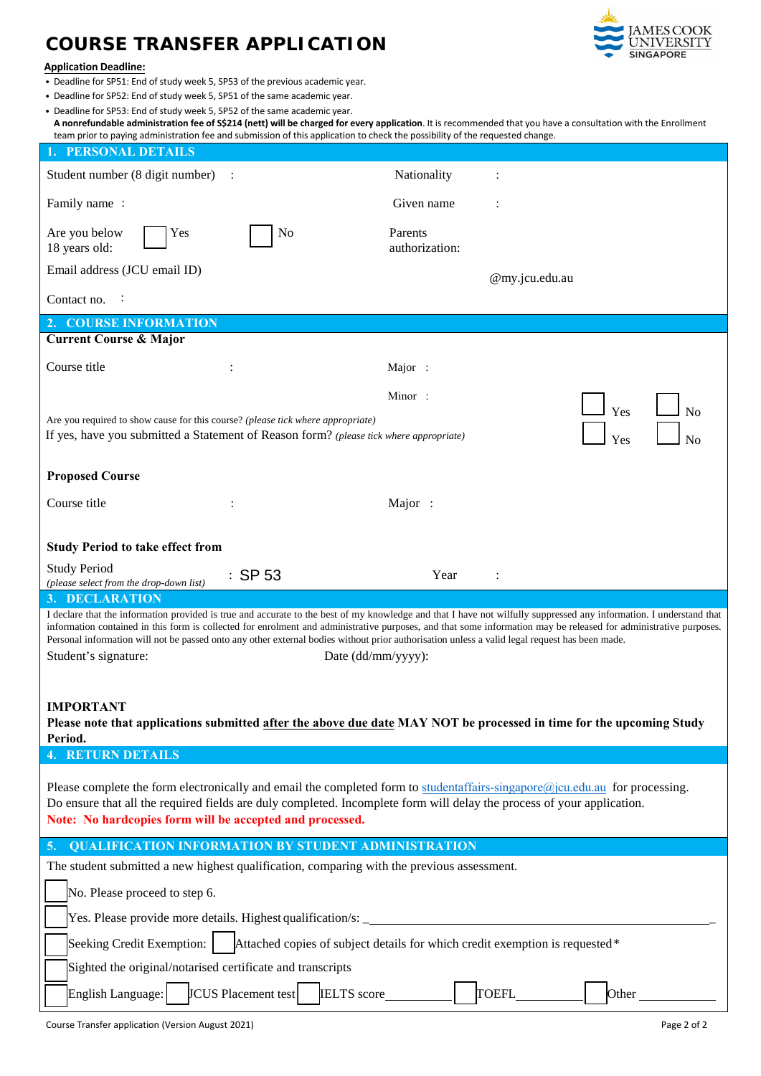## **COURSE TRANSFER APPLICATION**



## **Application Deadline:**

- Deadline for SP51: End of study week 5, SP53 of the previous academic year.
- Deadline for SP52: End of study week 5, SP51 of the same academic year.
- Deadline for SP53: End of study week 5, SP52 of the same academic year.

**A nonrefundable administration fee of S\$214 (nett) will be charged for every application**. It is recommended that you have a consultation with the Enrollment team prior to paying administration fee and submission of this application to check the possibility of the requested change.

| <b>1. PERSONAL DETAILS</b>                                                                                                                                                                                                                                                                                                                                                                                                                                                                                                               |                                               |  |
|------------------------------------------------------------------------------------------------------------------------------------------------------------------------------------------------------------------------------------------------------------------------------------------------------------------------------------------------------------------------------------------------------------------------------------------------------------------------------------------------------------------------------------------|-----------------------------------------------|--|
| Student number (8 digit number)<br>$\ddot{\phantom{1}}$ :                                                                                                                                                                                                                                                                                                                                                                                                                                                                                | Nationality                                   |  |
| Family name:                                                                                                                                                                                                                                                                                                                                                                                                                                                                                                                             | Given name                                    |  |
| Are you below<br>Yes<br>No<br>18 years old:                                                                                                                                                                                                                                                                                                                                                                                                                                                                                              | Parents<br>authorization:                     |  |
| Email address (JCU email ID)                                                                                                                                                                                                                                                                                                                                                                                                                                                                                                             | @my.jcu.edu.au                                |  |
| Contact no.<br>:                                                                                                                                                                                                                                                                                                                                                                                                                                                                                                                         |                                               |  |
| 2. COURSE INFORMATION                                                                                                                                                                                                                                                                                                                                                                                                                                                                                                                    |                                               |  |
| <b>Current Course &amp; Major</b>                                                                                                                                                                                                                                                                                                                                                                                                                                                                                                        |                                               |  |
| Course title                                                                                                                                                                                                                                                                                                                                                                                                                                                                                                                             | Major :                                       |  |
|                                                                                                                                                                                                                                                                                                                                                                                                                                                                                                                                          | Minor:                                        |  |
| Yes<br>No<br>Are you required to show cause for this course? (please tick where appropriate)<br>If yes, have you submitted a Statement of Reason form? (please tick where appropriate)<br>Yes<br>No                                                                                                                                                                                                                                                                                                                                      |                                               |  |
| <b>Proposed Course</b>                                                                                                                                                                                                                                                                                                                                                                                                                                                                                                                   |                                               |  |
| Course title                                                                                                                                                                                                                                                                                                                                                                                                                                                                                                                             | Major:                                        |  |
|                                                                                                                                                                                                                                                                                                                                                                                                                                                                                                                                          |                                               |  |
| <b>Study Period to take effect from</b>                                                                                                                                                                                                                                                                                                                                                                                                                                                                                                  |                                               |  |
| <b>Study Period</b><br>$\therefore$ SP 53<br>(please select from the drop-down list)                                                                                                                                                                                                                                                                                                                                                                                                                                                     | Year                                          |  |
| 3. DECLARATION                                                                                                                                                                                                                                                                                                                                                                                                                                                                                                                           |                                               |  |
| I declare that the information provided is true and accurate to the best of my knowledge and that I have not wilfully suppressed any information. I understand that<br>information contained in this form is collected for enrolment and administrative purposes, and that some information may be released for administrative purposes.<br>Personal information will not be passed onto any other external bodies without prior authorisation unless a valid legal request has been made.<br>Student's signature:<br>Date (dd/mm/yyyy): |                                               |  |
| <b>IMPORTANT</b><br>Please note that applications submitted after the above due date MAY NOT be processed in time for the upcoming Study<br>Period.                                                                                                                                                                                                                                                                                                                                                                                      |                                               |  |
| <b>4. RETURN DETAILS</b>                                                                                                                                                                                                                                                                                                                                                                                                                                                                                                                 |                                               |  |
| Please complete the form electronically and email the completed form to studentaffairs-singapore@jcu.edu.au for processing.<br>Do ensure that all the required fields are duly completed. Incomplete form will delay the process of your application.<br>Note: No hardcopies form will be accepted and processed.                                                                                                                                                                                                                        |                                               |  |
| <b>QUALIFICATION INFORMATION BY STUDENT ADMINISTRATION</b><br>5.                                                                                                                                                                                                                                                                                                                                                                                                                                                                         |                                               |  |
| The student submitted a new highest qualification, comparing with the previous assessment.                                                                                                                                                                                                                                                                                                                                                                                                                                               |                                               |  |
| No. Please proceed to step 6.                                                                                                                                                                                                                                                                                                                                                                                                                                                                                                            |                                               |  |
|                                                                                                                                                                                                                                                                                                                                                                                                                                                                                                                                          |                                               |  |
| Seeking Credit Exemption:   Attached copies of subject details for which credit exemption is requested *                                                                                                                                                                                                                                                                                                                                                                                                                                 |                                               |  |
| Sighted the original/notarised certificate and transcripts                                                                                                                                                                                                                                                                                                                                                                                                                                                                               |                                               |  |
| <b>JCUS</b> Placement test<br>IELTS score__________<br>English Language:                                                                                                                                                                                                                                                                                                                                                                                                                                                                 | TOEFL______<br>Other $\overline{\phantom{a}}$ |  |